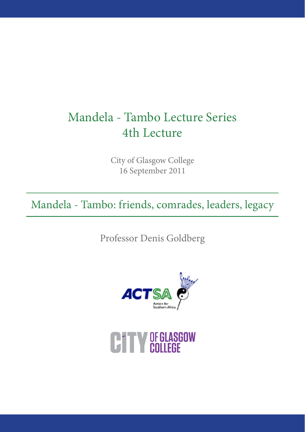# Mandela - Tambo Lecture Series 4th Lecture

City of Glasgow College 16 September 2011

Mandela - Tambo: friends, comrades, leaders, legacy

Professor Denis Goldberg



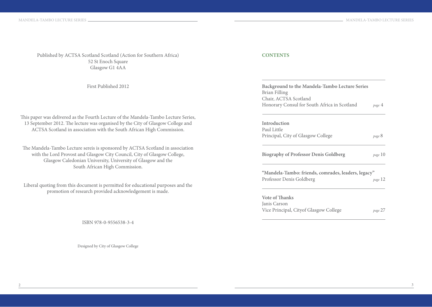Published by ACTSA Scotland Scotland (Action for Southern Africa) 52 St Enoch Square Glasgow G1 4AA

First Published 2012

This paper was delivered as the Fourth Lecture of the Mandela-Tambo Lecture Series, 13 September 2012. The lecture was organised by the City of Glasgow College and ACTSA Scotland in association with the South African High Commission.

The Mandela-Tambo Lecture sereis is sponsored by ACTSA Scotland in association with the Lord Provost and Glasgow City Council, City of Glasgow College, Glasgow Caledonian University, University of Glasgow and the South African High Commission.

Liberal quoting from this document is permitted for educational purposes and the promotion of research provided acknowledgement is made.

ISBN 978-0-9556538-3-4

Designed by City of Glasgow College

#### **CONTENTS**

| Background to the Mandela-Tambo Lecture Series      |         |
|-----------------------------------------------------|---------|
| Brian Filling                                       |         |
| Chair, ACTSA Scotland                               |         |
| Honorary Consul for South Africa in Scotland        | page 4  |
| Introduction                                        |         |
| Paul Little                                         |         |
| Principal, City of Glasgow College                  | page 8  |
| <b>Biography of Professor Denis Goldberg</b>        | page 10 |
| "Mandela-Tambo: friends, comrades, leaders, legacy" |         |
| Professor Denis Goldberg                            | page 12 |
| Vote of Thanks                                      |         |
| Janis Carson                                        |         |
| Vice Principal, Cityof Glasgow College              | page 27 |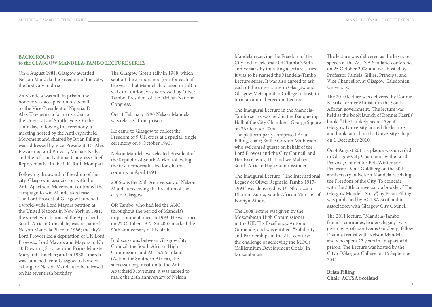### **BACKGROUND to the GLASGOW MANDELA-TAMBO LECTURE SERIES**

On 4 August 1981, Glasgow awarded Nelson Mandela the Freedom of the City, the first City to do so.

As Mandela was still in prison, the honour was accepted on his behalf by the Vice-President of Nigeria, Dr Alex Ekwueme, a former student at the University of Strathclyde. On the same day, following the ceremony, a meeting hosted by the Anti-Apartheid Movement and chaired by Brian Filling was addressed by Vice-President, Dr Alex Ekwueme; Lord Provost, Michael Kelly; and the African National Congress Chief Representative in the UK, Ruth Mompati.

Following the award of Freedom of the city, Glasgow in association with the Anti-Apartheid Movement continued the campaign to win Mandela's release. The Lord Provost of Glasgow launched a world-wide Lord Mayors petition at the United Nations in New York in 1981; the street, which housed the Apartheid South African Consulate, was re-named Nelson Mandela Place in 1986; the city's Lord Provost led a deputation of UK Lord Provosts, Lord Mayors and Mayors to No 10 Downing St to petition Prime Minister Margaret Thatcher; and in 1988 a march was launched from Glasgow to London calling for Nelson Mandela to be released on his seventieth birthday.

The Glasgow Green rally in 1988, which sent off the 25 marchers (one for each of the years that Mandela had been in jail) to walk to London, was addressed by Oliver Tambo, President of the African National Congress.

On 11 February 1990 Nelson Mandela was released from prison.

He came to Glasgow to collect the Freedom of 9 UK cities at a special, single ceremony on 9 October 1993.

Nelson Mandela was elected President of the Republic of South Africa, following the first democratic elections in that country, in April 1994.

2006 was the 25th Anniversary of Nelson Mandela receiving the Freedom of the city of Glasgow.

OR Tambo, who had led the ANC throughout the period of Mandela's imprisonment, died in 1993. He was born on 27 October 1917. So 2007 marked the 90th anniversary of his birth.

In discussions between Glasgow City Council, the South African High Commission and ACTSA Scotland (Action for Southern Africa), the successor organisation to the Anti-Apartheid Movement, it was agreed to mark the 25th anniversary of Nelson

Mandela receiving the Freedom of the City and to celebrate OR Tambo's 90th anniversary by initiating a lecture series. It was to be named the Mandela-Tambo Lecture series. It was also agreed to ask each of the universities in Glasgow and Glasgow Metropolitan College to host, in turn, an annual Freedom Lecture.

The Inaugural Lecture in the Mandela-Tambo series was held in the Banqueting Hall of the City Chambers, George Square on 26 October 2006.

The platform party comprised Brian Filling, chair; Baillie Gordon Mathieson, who welcomed guests on behalf of the Lord Provost and the City Council; and Her Excellency, Dr Lindiwe Mabuza, South African High Commissioner.

The Inaugural Lecture, "The International Legacy of Oliver Reginald Tambo 1917- 1993" was delivered by Dr Nkosazana Dlamini Zuma, South African Minister of Foreign Affairs.

The 2008 lecture was given by the Mozambican High Commissioner in the UK, His Excellency, Antonio Gumende, and was entitled: "Solidarity and Partnerships in the 21st century: the challenge of achieving the MDGs (Millennium Development Goals) in Mozambique.

The lecture was delivered as the keynote speech at the ACTSA Scotland conference on 25 October 2008 and was hosted by Professor Pamela Gillies, Principal and Vice Chancellor, at Glasgow Caledonian University.

The 2010 lecture was delivered by Ronnie Kasrils, former Minister in the South African government. The lecture was held as the book launch of Ronnie Kasrils' book, "The Unlikely Secret Agent". Glasgow University hosted the lecture and book launch in the University Chapel on 1 December 2010.

On 4 August 2011, a plaque was unveiled in Glasgow City Chambers by the Lord Provost, Councillor Bob Winter and Professor Denis Goldberg on the 30th anniversary of Nelson Mandela receiving the Freedom of the City. To coincide with the 30th anniversary a booklet, "The Glasgow Mandela Story", by Brian Filling, was published by ACTSA Scotland in association with Glasgow City Council.

The 2011 lecture, "Mandela-Tambo: friends, comrades, leaders, legacy" was given by Professor Denis Goldberg, fellow Rivonia trialist with Nelson Mandela, and who spent 22 years in an apartheid prison. The Lecture was hosted by the City of Glasgow College on 16 September 2011.

**Brian Filling Chair, ACTSA Scotland**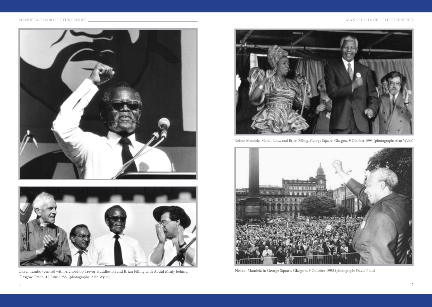



Oliver Tambo (centre) with Archbishop Trevor Huddleston and Brian Filling with Abdul Minty behind Nelson Mandela in George Square, Glasgow, 9 October 1993 (photograph: David Pratt) Glasgow Green, 12 June 1988. (photographs: Alan Wylie)



Nelson Mandela, Marah Louw and Brian Filling. George Square, Glasgow, 9 October 1993 (photograph: Alan Wylie)

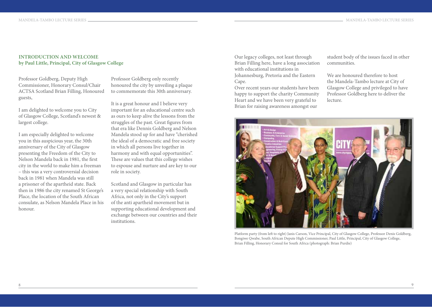## **INTRODUCTION AND WELCOME by Paul Little, Principal, City of Glasgow College**

Professor Goldberg, Deputy High Commissioner, Honorary Consul/Chair ACTSA Scotland Brian Filling, Honoured guests,

I am delighted to welcome you to City of Glasgow College, Scotland's newest & largest college.

I am especially delighted to welcome you in this auspicious year, the 30th anniversary of the City of Glasgow presenting the Freedom of the City to Nelson Mandela back in 1981, the first city in the world to make him a freeman – this was a very controversial decision back in 1981 when Mandela was still a prisoner of the apartheid state. Back then in 1986 the city renamed St George's Place, the location of the South African consulate, as Nelson Mandela Place in his honour.

Professor Goldberg only recently honoured the city by unveiling a plaque to commemorate this 30th anniversary.

It is a great honour and I believe very important for an educational centre such as ours to keep alive the lessons from the struggles of the past. Great figures from that era like Dennis Goldberg and Nelson Mandela stood up for and have "cherished the ideal of a democratic and free society in which all persons live together in harmony and with equal opportunities". These are values that this college wishes to espouse and nurture and are key to our role in society.

Scotland and Glasgow in particular has a very special relationship with South Africa, not only in the City's support of the anti apartheid movement but in supporting educational development and exchange between our countries and their institutions.

Our legacy colleges, not least through Brian Filling here, have a long association with educational institutions in

Johannesburg, Pretoria and the Eastern Cape.

Over recent years our students have been happy to support the charity Community Heart and we have been very grateful to Brian for raising awareness amongst our

student body of the issues faced in other communities.

We are honoured therefore to host the Mandela-Tambo lecture at City of Glasgow College and privileged to have Professor Goldberg here to deliver the lecture.



Platform party (from left to right) Janis Carson, Vice Principal, City of Glasgow College, Professor Denis Goldberg, Bongiwe Qwabe, South African Depute High Commissioner, Paul Little, Principal, City of Glasgow College, Brian Filling, Honorary Consul for South Africa (photograph: Brian Purdie)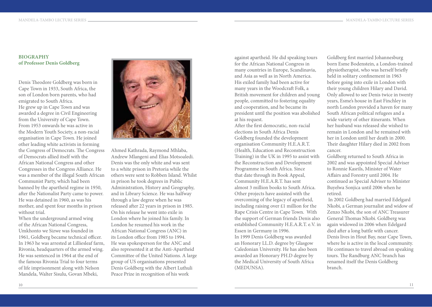#### **BIOGRAPHY of Professor Denis Goldberg**

Denis Theodore Goldberg was born in Cape Town in 1933, South Africa, the son of London born parents, who had emigrated to South Africa. He grew up in Cape Town and was awarded a degree in Civil Engineering from the University of Cape Town. From 1953 onwards he was active in the Modern Youth Society, a non-racial organisation in Cape Town. He joined other leading white activists in forming the Congress of Democrats. The Congress of Democrats allied itself with the African National Congress and other Congresses in the Congress Alliance. He was a member of the illegal South African Communist Party, which had been banned by the apartheid regime in 1950, after the Nationalist Party came to power. He was detained in 1960, as was his mother, and spent four months in prison without trial.

When the underground armed wing of the African National Congress, Umkhonto we Sizwe was founded in 1961, Goldberg became technical officer. In 1963 he was arrested at Lilliesleaf farm, Rivonia, headquarters of the armed wing. He was sentenced in 1964 at the end of the famous Rivonia Trial to four terms of life imprisonment along with Nelson Mandela, Walter Sisulu, Govan Mbeki,



Ahmed Kathrada, Raymond Mhlaba, Andrew Mlangeni and Elias Motsoaledi. Denis was the only white and was sent to a white prison in Pretoria while the others were sent to Robben Island. Whilst in prison he took degrees in Public Administration, History and Geography, and in Library Science. He was halfway through a law degree when he was released after 22 years in prison in 1985. On his release he went into exile in London where he joined his family. In London he resumed his work in the African National Congress (ANC) in its London office from 1985 to 1994. He was spokesperson for the ANC and also represented it at the Anti-Apartheid Committee of the United Nations. A large group of US organisations presented Denis Goldberg with the Albert Luthuli Peace Prize in recognition of his work

against apartheid. He did speaking tours for the African National Congress in many countries in Europe, Scandinavia, and Asia as well as in North America. His exiled family had been active for many years in the Woodcraft Folk, a British movement for children and young people, committed to fostering equality and cooperation, and he became its president until the position was abolished at his request.

After the first democratic, non-racial elections in South Africa Denis Goldberg founded the development organisation Community H.E.A.R.T. (Health, Education and Reconstruction Training) in the UK in 1995 to assist with the Reconstruction and Development Programme in South Africa. Since that date through its Book Appeal, Community H.E.A.R.T. has sent almost 3 million books to South Africa. Other projects have assisted with the overcoming of the legacy of apartheid, including raising over  $\pounds1$  million for the Rape Crisis Centre in Cape Town. With the support of German friends Denis also established Community H.E.A.R.T. e.V. in Essen in Germany in 1996. In 1999 Denis Goldberg was awarded an Honorary LL.D. degree by Glasgow Caledonian University. He has also been awarded an Honorary PH.D degree by the Medical University of South Africa (MEDUNSA).

Goldberg first married Johannesburg born Esme Bodenstein, a London-trained physiotherapist, who was herself briefly held in solitary confinement in 1963 before going into exile in London with their young children Hilary and David. Only allowed to see Denis twice in twenty years, Esme's house in East Finchley in north London provided a haven for many South African political refugees and a wide variety of other itinerants. When her husband was released she wished to remain in London and he remained with her in London until her death in 2000. Their daughter Hilary died in 2002 from cancer.

Goldberg returned to South Africa in 2002 and was appointed Special Adviser to Ronnie Kasrils, Minister of Water Affairs and Forestry until 2004. He continued as Special Adviser to Minister Buyelwa Sonjica until 2006 when he retired.

 In 2002 Goldberg had married Edelgard Nkobi, a German journalist and widow of Zenzo Nkobi, the son of ANC Treasurer General Thomas Nkobi. Goldberg was again widowed in 2006 when Edelgard died after a long battle with cancer. Denis lives in Hout Bay, near Cape Town, where he is active in the local community. He continues to travel abroad on speaking tours. The Randburg ANC branch has renamed itself the Denis Goldberg branch.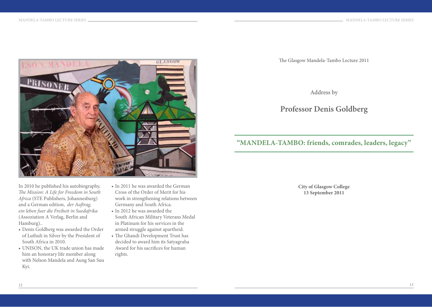

In 2010 he published his autobiography, *The Mission: A Life for Freedom in South Africa* (STE Publishers, Johannesburg) and a German edition, *der Auftrag, ein leben fuer die Freiheit in Suedafrika* (Assoziation A Verlag, Berlin and Hamburg)..

- • Denis Goldberg was awarded the Order of Luthuli in Silver by the President of South Africa in 2010.
- UNISON, the UK trade union has made him an honorary life member along with Nelson Mandela and Aung San Suu Kyi.
- In 2011 he was awarded the German Cross of the Order of Merit for his work in strengthening relations between Germany and South Africa.
- In 2012 he was awarded the South African Military Veterans Medal in Platinum for his services in the armed struggle against apartheid.
- The Ghandi Development Trust has decided to award him its Satyagraha Award for his sacrifices for human rights.

The Glasgow Mandela-Tambo Lecture 2011

Address by

# **Professor Denis Goldberg**

# **"MANDELA-TAMBO: friends, comrades, leaders, legacy"**

**City of Glasgow College 13 September 2011**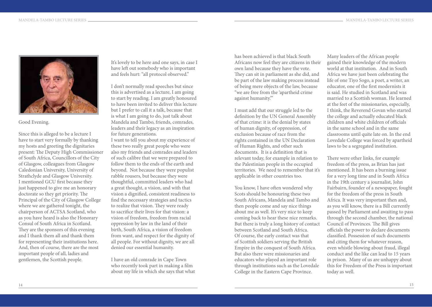

Good Evening.

Since this is alleged to be a lecture I have to start very formally by thanking my hosts and greeting the dignitaries present: The Deputy High Commissioner of South Africa, Councillors of the City of Glasgow, colleagues from Glasgow Caledonian University, University of Strathclyde and Glasgow University. I mentioned GCU first because they just happened to give me an honorary doctorate so they get priority. The Principal of the City of Glasgow College where we are gathered tonight, the chairperson of ACTSA Scotland, who as you have heard is also the Honorary Consul of South Africa in Scotland. They are the sponsors of this evening and I thank them all and thank them for representing their institutions here. And, then of course, there are the most important people of all, ladies and gentlemen, the Scottish people.

It's lovely to be here and one says, in case I have left out somebody who is important and feels hurt: "all protocol observed."

I don't normally read speeches but since this is advertised as a lecture, I am going to start by reading. I am greatly honoured to have been invited to deliver this lecture but I prefer to call it a talk, because that is what I am going to do, just talk about Mandela and Tambo, friends, comrades, leaders and their legacy as an inspiration for future generations.

I want to tell you about my experience of these two really great people who were also my friends and comrades and leaders of such calibre that we were prepared to follow them to the ends of the earth and beyond. Not because they were populist rabble rousers, but because they were thoughtful, committed leaders who had a great thought, a vision, and with that vision a dignified, consistent readiness to find the necessary strategies and tactics to realize that vision. They were ready to sacrifice their lives for that vision: a vision of freedom, freedom from racial oppression by law in the land of their birth, South Africa, a vision of freedom from want, and respect for the dignity of all people. For without dignity, we are all denied our essential humanity.

I have an old comrade in Cape Town who recently took part in making a film about my life in which she says that what has been achieved is that black South Africans now feel they are citizens in their own land because they have the vote. They can sit in parliament as she did, and be part of the law making process instead of being mere objects of the law, because "we are free from the 'apartheid crime against humanity.'"

I must add that our struggle led to the definition by the UN General Assembly of that crime: it is the denial by states of human dignity, of oppression, of exclusion because of race from the rights contained in the UN Declaration of Human Rights, and other such documents. It is a definition that is relevant today, for example in relation to the Palestinian people in the occupied territories. We need to remember that it's applicable in other countries too.

You know, I have often wondered why Scots should be honouring these two South Africans, Mandela and Tambo and then people come and say nice things about me as well. It's very nice to keep coming back to hear these nice remarks. But there is truly a long history of contact between Scotland and South Africa. Of course, the early contact was that of Scottish soldiers serving the British Empire in the conquest of South Africa. But also there were missionaries and educators who played an important role through institutions such as the Lovedale College in the Eastern Cape Province.

Many leaders of the African people gained their knowledge of the modern world at that institution. And in South Africa we have just been celebrating the life of one Tiyo Sogo, a poet, a writer, an educator, one of the first modernists it is said. He studied in Scotland and was married to a Scottish woman. He learned at the feet of the missionaries, especially, I think, the Reverend Govan who started the college and actually educated black children and white children of officials in the same school and in the same classrooms until quite late on. In the end Lovedale College was forced by apartheid laws to be a segregated institution.

There were other links, for example freedom of the press, as Brian has just mentioned. It has been a burning issue for a very long time and in South Africa in the 19th century a journalist, John Fairbairn, founder of a newspaper, fought for the freedom of the press in South Africa. It was very important then and, as you will know, there is a Bill currently passed by Parliament and awaiting to pass through the second chamber, the national Council of Provinces. The Bill gives officials the power to declare documents classified. Possession of such documents and citing them for whatever reason, even whistle blowing about fraud, illegal conduct and the like can lead to 15 years in prison. Many of us are unhappy about this for Freedom of the Press is important today as well.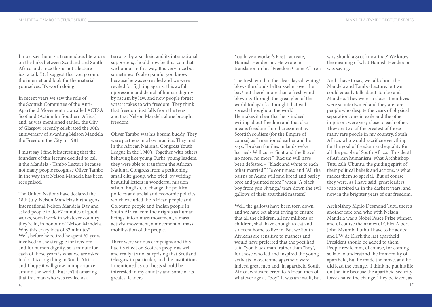I must say there is a tremendous literature on the links between Scotland and South Africa and since this is not a lecture just a talk (!), I suggest that you go onto the internet and look for the material yourselves. It's worth doing.

In recent years we saw the role of the Scottish Committee of the Anti-Apartheid Movement now called ACTSA Scotland (Action for Southern Africa) and, as was mentioned earlier, the City of Glasgow recently celebrated the 30th anniversary of awarding Nelson Mandela the Freedom the City in 1981.

I must say I find it interesting that the founders of this lecture decided to call it the Mandela - Tambo Lecture because not many people recognise Oliver Tambo in the way that Nelson Mandela has been recognised.

The United Nations have declared the 18th July, Nelson Mandela's birthday, as International Nelson Mandela Day and asked people to do 67 minutes of good works, social work in whatever country they're in, in honour of Nelson Mandela. Why this crazy idea of 67 minutes? Well, before he retired he spent 67 years involved in the struggle for freedom and for human dignity, so a minute for each of those years is what we are asked to do. It's a big thing in South Africa and I hope it will grow in importance around the world. But isn't it amazing that this man who was reviled as a

terrorist by apartheid and its international supporters, should now be this icon that we honour in this way. It is very nice but sometimes it's also painful you know, because he was so reviled and we were reviled for fighting against this awful oppression and denial of human dignity by racism by law, and now people forget what it takes to win freedom. They think that freedom just falls from the trees and that Nelson Mandela alone brought freedom.

Oliver Tambo was his bosom buddy. They were partners in a law practice. They met in the African National Congress Youth League in the 1940's. Together with others behaving like young Turks, young leaders, they were able to transform the African National Congress from a petitioning small elite group, who tried, by writing beautiful letters in wonderful mission school English, to change the political policies and social and economic policies which excluded the African people and Coloured people and Indian people in South Africa from their rights as human beings, into a mass movement, a mass activist movement, a movement of mass mobilisation of the people.

There were various campaigns and this had its effect on Scottish people as well and really it's not surprising that Scotland, Glasgow in particular, and the institutions I mentioned as our hosts should be interested in my country and some of its greatest leaders.

You have a worker's Poet Laureate, Hamish Henderson. He wrote in translation in his "Freedom Come All Ye":

The fresh wind in the clear days dawning/ blows the clouds helter skelter over the bay/ but there's more than a fresh wind blowing/ through the great glen of the world today/ it's a thought that will spread throughout the world. He makes it clear that he is indeed writing about freedom and that also means freedom from harassment by Scottish soldiers (for the Empire of course) as I mentioned earlier and he says, "broken families in lands we've harried/ Will curse 'Scotland the Brave' no more, no more." Racism will have been defeated – "black and white to each other married." He continues: and "All the bairns of Adam will find bread and barley bree and painted room," when "A black boy from yon Nyanga/ tears down the evil gallows of their apartheid masters."

Well, the gallows have been torn down, and we have set about trying to ensure that all the children, all my millions of children, shall have enough to eat and a decent home to live in. But we South Africans are sensitive to nuances and would have preferred that the poet had said "yon black man" rather than "boy", for those who led and inspired the young activists to overcome apartheid were indeed great men and, in apartheid South Africa, whites referred to African men of whatever age as "boy". It was an insult, but

why should a Scot know that? We know the meaning of what Hamish Henderson was saying.

And I have to say, we talk about the Mandela and Tambo Lecture, but we could equally talk about Tambo and Mandela. They were so close. Their lives were so intertwined and they are rare people who despite the years of physical separation, one in exile and the other in prison, were very close to each other. They are two of the greatest of those many rare people in my country, South Africa, who would sacrifice everything for the goal of freedom and equality for all the people of South Africa. This depth of African humanism, what Archbishop Tutu calls Ubuntu, the guiding spirit of their political beliefs and actions, is what makes them so special. But of course they were, as I have said, great leaders who inspired us in the darkest years, and now in the brighter years of our freedom.

Archbishop Mpilo Desmond Tutu, there's another rare one, who with Nelson Mandela was a Nobel Peace Prize winner, and of course the names of Chief Albert John Mvumbi Luthuli have to be added and FW de Klerk the last apartheid President should be added to them. People revile him, of course, for coming so late to understand the immorality of apartheid, but he made the move, and he did lead the change. I think he put his life on the line because the apartheid security forces hated the change. They believed, as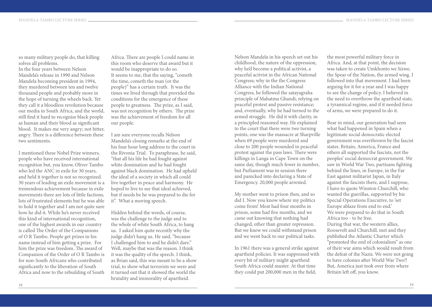so many military people do, that killing solves all problems. In the four years between Nelson Mandela's release in 1990 and Nelson Mandela becoming president in 1994, they murdered between ten and twelve thousand people and probably more in the hope of turning the wheels back. Yet they call it a bloodless revolution because our media in South Africa, and the world, still find it hard to recognise black people as human and their blood as significant blood. It makes me very angry; not bitter, angry. There is a difference between these two sentiments.

I mentioned these Nobel Prize winners, people who have received international recognition but, you know, Oliver Tambo who led the ANC in exile for 30 years, and held it together is not so recognized. 30 years of leading an exile movement is a tremendous achievement because in exile movements there are lots of little factions lots of frustrated elements but he was able to hold it together and I am not quite sure how he did it. While he's never received this kind of international recognition, one of the highest awards in our country is called The Order of the Companions of O R Tambo. People get prizes in his name instead of him getting a prize. For him the prize was freedom. The award of Companion of the Order of O R Tambo is for non-South Africans who contributed significantly to the liberation of South Africa and now to the rebuilding of South

Africa. There are people I could name in this room who deserve that award but it would be inappropriate to do so. It seems to me, that the saying, "cometh the time, cometh the man (or the people)" has a certain truth. It was the times we lived through that provided the conditions for the emergence of these people to greatness. The prize, as I said, was not recognition by others. The prize was the achievement of freedom for all our people.

I am sure everyone recalls Nelson Mandela's closing remarks at the end of his four hour long address to the court in the Rivonia Trial. To paraphrase, he said, "that all his life he had fought against white domination and he had fought against black domination. He had upheld the ideal of a society in which all could live together in peace and harmony. He hoped to live to see that ideal achieved, but if needs be he was prepared to die for it". What a moving speech.

Hidden behind the words, of course, was the challenge to the judge and to the whole of white South Africa, to hang us. I asked him quite recently why the judge didn't hang us. He said, "because I challenged him to and he didn't dare." Well, maybe that was the reason. I think it was the quality of the speech. I think, as Brian said, this was meant to be a show trial, to show what terrorists we were and it turned out that it showed the world the brutality and immorality of apartheid.

Nelson Mandela in his speech set out his childhood, the nature of the oppression, why he'd become a political activist, a peaceful activist in the African National Congress; why in the the Congress Alliance with the Indian National Congress, he followed the satayagraha principle of Mahatma Ghandi, relying on peaceful protest and passive resistance; and, eventually, why he had turned to the armed struggle. He did it with clarity, in a principled reasoned way. He explained to the court that there were two turning points, one was the massacre at Sharpville when 69 people were murdered and close to 200 people wounded in peaceful protest against the pass laws. There were killings in Langa in Cape Town on the same day, though much fewer in number, but Parliament was in session there and panicked into declaring a State of Emergency. 20,000 people arrested.

My mother went to prison then, and so did I. Now you know where my politics come from! Most had four months in prison, some had five months, and we came out knowing that nothing had changed, other than greater repression. But we knew we could withstand prison and we went back to our political tasks.

In 1961 there was a general strike against apartheid policies. It was suppressed with every bit of military might apartheid South Africa could muster. At that time they could put 200,000 men in the field,

the most powerful military force in Africa. And, at that point, the decision was taken to create Umkhonto we Sizwe, the Spear of the Nation, the armed wing. I followed into that movement. I had been arguing for it for a year and I was happy to see the change of policy. I believed in the need to overthrow the apartheid state, a tyrannical regime, and if it needed force of arms, we were prepared to do it.

Bear in mind, our generation had seen what had happened in Spain when a legitimate social democratic elected government was overthrown by the fascist states. Britain, America, France and others all supported the fascists, not the peoples' social democrat government. We saw in World War Two, partisans fighting behind the lines, in Europe, in the Far East against militarist Japan, in Italy against the fascists there, and I suppose, I have to quote Winston Churchill, who wanted the guerillas, supported by his Special Operations Executive, to 'set Europe ablaze from end to end.' We were prepared to do that in South Africa too - to be free. During that war, the western allies, Roosevelt and Churchill, met and they published the Atlantic Charter which "promoted the end of colonialism" as one of their war aims which would result from the defeat of the Nazis. We were not going to have colonies after World War Two!! But, America just took over from where Britain left off, you know.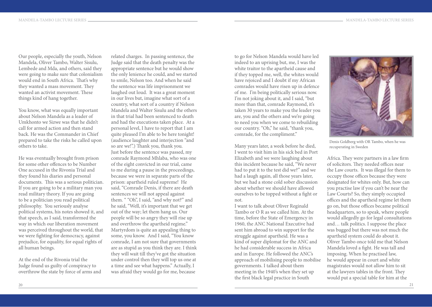Our people, especially the youth, Nelson Mandela, Oliver Tambo, Walter Sisulu, Lembede and Mda, and others, said they were going to make sure that colonialism would end in South Africa. That's why they wanted a mass movement. They wanted an activist movement. These things kind of hang together.

You know, what was equally important about Nelson Mandela as a leader of Umkhonto we Sizwe was that he didn't call for armed action and then stand back. He was the Commander in Chief prepared to take the risks he called upon others to take.

He was eventually brought from prison for some other offences to be Number One accused in the Rivonia Trial and they found his diaries and personal documents. This was a serious politician. If you are going to be a military man you read military theory. If you are going to be a politician you read political philosophy. You seriously analyse political systems, his notes showed it, and that speech, as I said, transformed the way in which our liberation movement was perceived throughout the world, that we were fighting for democracy, against prejudice, for equality, for equal rights of all human beings.

At the end of the Rivonia trial the Judge found us guilty of conspiracy to overthrow the state by force of arms and

related charges. In passing sentence, the Judge said that the death penalty was the appropriate sentence but he would show the only lenience he could, and we started to smile, Nelson too. And when he said the sentence was life imprisonment we laughed out loud. It was a great moment in our lives but, imagine what sort of a country, what sort of a country if Nelson Mandela and Walter Sisulu and the others in that trial had been sentenced to death and had the executions taken place. At a personal level, I have to report that I am quite pleased I'm able to be here tonight! (audience laughter and interjection "and so are we!".) Thank you, thank you. Just before the sentence was passed, my comrade Raymond Mhlaba, who was one of the eight convicted in our trial, came to me during a pause in the proceedings, because we were in separate parts of the prison: apartheid ruled supreme! He said, "Comrade Denis, if there are death sentences we will not appeal against them. " "Oh", I said, "and why not?" and he said, "Well, it's important that we get out of the way; let them hang us. Our people will be so angry they will rise up and overthrow the apartheid regime." Martyrdom is quite an appealing thing to some, you know. And I said, "You know comrade, I am not sure that governments are as stupid as you think they are. I think they will wait till they've got the situation under control then they will top us one at a time and see what happens." Actually, I was afraid they would go for me, because

to go for Nelson Mandela would have led indeed to an uprising but, me, I was the white traitor to the apartheid cause and if they topped me, well, the whites would have rejoiced and I doubt if my African comrades would have risen up in defence of me. I'm being politically serious now. I'm not joking about it, and I said, "but more than that, comrade Raymond, it's taken 30 years to make you the leader you are, you and the others and we're going to need you when we come to rebuilding our country. "Oh," he said, "thank you, comrade, for the compliment."

Many years later, a week before he died, I went to visit him in his sick bed in Port Elizabeth and we were laughing about this incident because he said, "We never had to put it to the test did we?" and we had a laugh again, all those years later, but we had a stone cold sober discussion about whether we should have allowed ourselves to be topped without a fight or not.

I want to talk about Oliver Reginald Tambo or O R as we called him. At the time, before the State of Emergency in 1960, the ANC National Executive had sent him abroad to win support for the struggle against apartheid. He was a kind of super diplomat for the ANC and he had considerable success in Africa and in Europe. He followed the ANC's approach of mobilising people to mobilise governments. I talked about them meeting in the 1940's when they set up the first black legal practice in South



Denis Goldberg with OR Tambo, when he was recuperating in Sweden

Africa. They were partners in a law firm of solicitors. They needed offices near the Law courts. It was illegal for them to occupy those offices because they were designated for whites only. But, how can you practise law if you can't be near the Law Courts? So, they simply occupied offices and the apartheid regime let them go on, but those offices became political headquarters, so to speak, where people would allegedly go for legal consultations and… talk politics. I suppose the place was bugged but there was not much the apartheid system could do about it. Oliver Tambo once told me that Nelson Mandela loved a fight. He was tall and imposing. When he practised law, he would appear in court and white magistrates would not allow him to sit at the lawyers tables in the front. They would put a special table for him at the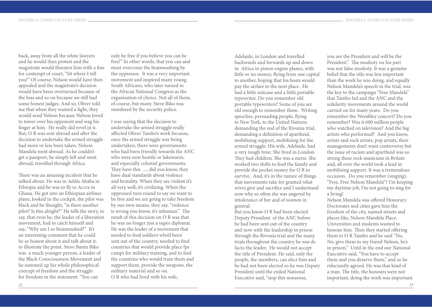back, away from all the white lawyers and he would then protest and the magistrate would threaten him with a fine for contempt of court, "Sit where I tell you!" Of course, Nelson would have then appealed and the magistrate's decision would have been overturned because of the bias and so on because we still had some honest judges. And so, Oliver told me that when they wanted a fight, they would send Nelson because Nelson loved to tower over his opponent and wag his finger at him. He really did revel in it. But, O R was sent abroad and after the decision to undertake the armed struggle had more or less been taken, Nelson Mandela went abroad. As he couldn't get a passport, he simply left and went abroad, travelled through Africa.

There was an amusing incident that he talked about. He was in Addis Ababa in Ethiopia and he was to fly to Accra in Ghana. He got into an Ethiopian airlines plane, looked in the cockpit, the pilot was black and he thought, "is there another pilot? Is this alright?" He tells the story, to say, that even he, the leader of a liberation movement, had to catch himself and say, "Why am I so brainwashed?" It's an interesting comment that he could be so honest about it and talk about it, to illustrate the point. Steve Bantu Biko was a much younger person, a leader of the Black Consciousness Movement and he summed up his whole philosophical concept of freedom and the struggle for freedom in the statement: "You can

only be free if you believe you can be free!" In other words, that you can and must overcome the brainwashing by the oppressor. It was a very important movement and inspired many young South Africans, who later turned to the African National Congress as the organisation of choice. Not all of them, of course, but many. Steve Biko was murdered by the security police.

I was saying that the decision to undertake the armed struggle really affected Oliver Tambo's work because, once the armed struggle was being undertaken, there were governments who had been friendly towards the ANC who were now hostile or lukewarm, and especially colonial governments. They have this …, did you know, they have dual standards about violence and brutality. When they are violent it's all very well; it's civilizing. When the oppressed turn round to say we want to be free and we are going to take freedom by our own means, they say, "violence is wrong you know, it's inhuman." The result of this decision on O R was that he was no longer just a super diplomat. He was the leader of a movement that needed to feed soldiers who'd been sent out of the country, needed to find countries that would provide place fpr camps for military training, and to find the countries who would train them and support them, provide the weapons, the military material and so on. O R who had lived with his wife,

Adelaide, in London and travelled backwards and forwards up and down in Africa in piston engine planes, with little or no money, flying from one capital to another, hoping that his hosts would pay the airfare to the next place. He had a little suitcase and a little portable typewriter. Do you remember old portable typewriters? Some of you are old enough to remember them. Writing speeches, persuading people, flying to New York, to the United Nations demanding the end of the Rivonia trial, demanding a definition of apartheid, mobilizing support, mobilizing for the armed struggle. His wife, Adelaide, had a very tough time. She lived in London. They had children. She was a nurse. She worked two shifts to feed the family and provide the pocket money for O R to survive. And, it's in the nature of things that movements take for granted what wives give and sacrifice and I understand now why so often she was angered by intolerance of her and of women in general.

But you know O R had been elected Deputy President of the ANC before he had been sent out of the country and now with the leadership in prison through the Rivonia trial and the many trials throughout the country he was de facto the leader. He would not accept the title of President. He said, only the people, the members, can elect him and he had not been elected so he was Deputy President until the exiled National Executive said, "stop this nonsense,

you are the President and will be the President." The modesty on his part was not false modesty. It was a genuine belief that the title was less important than the work he was doing, and equally Nelson Mandela's speech in the trial, was the key to the campaign "Free Mandela" that Tambo led and the ANC and the solidarity movements around the world carried on for many years. Do you remember the Wembley concert? Do you remember? Was it 600 million people who watched on television? And the big artists who performed? And you know, artists and rock artists, pop artists, their managements don't want controversy but the issue of racism and apartheid was so strong these rock musicians in Britain and, all over the world took a lead in mobilising support. It was a tremendous occasion. Do you remember (singing), "Free, Free Nelson Mandela"? I'm keeping my daytime job, I'm not going to sing for a living!

Nelson Mandela was offered Honorary Doctorates and cities gave him the freedom of the city, named streets and places like, Nelson Mandela Place. Universities and students wanted to honour him. Then they started offering them to O R Tambo and he said "No, No, give them to my friend Nelson, he's in prison." Until in the end our National Executive said, "You have to accept them and you deserve them," and so he reluctantly agreed. He was that kind of a man. The title, the honours were not important; doing the work was important.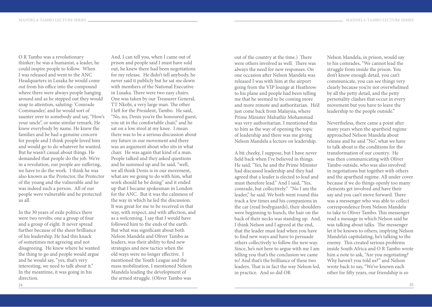O R Tambo was a revolutionary thinker; he was a humanist, a leader, he could inspire people to follow. When I was released and went to the ANC Headquarters in Lusaka he would come out from his office into the compound where there were always people hanging around and as he stepped out they would snap to attention, saluting: 'Comrade Commander,' and he would sort of saunter over to somebody and say, "How's your uncle", or some similar remark. He knew everybody by name. He knew the families and he had a genuine concern for people and I think people loved him and would go to do whatever he wanted. But he wasn't casual about things. He demanded that people do the job. We're in a revolution, our people are suffering, we have to do the work. I think he was also known as the Protector, the Protector of the young and the vulnerable and he was indeed such a person. All of our people were vulnerable and he protected us all.

In the 30 years of exile politics there were two revolts: one a group of four and a group of eight. It never spread further because of the sheer brilliance of his leadership. He had this knack of sometimes not agreeing and not disagreeing. He knew where he wanted the thing to go and people would argue and he would say, "yes, that's very interesting, we need to talk about it." In the meantime, it was going in his direction.

And, I can tell you, when I came out of prison and people said I must have sold out, he knew there had been negotiations for my release. He didn't tell anybody, he never said it publicly but he sat me down with members of the National Executive in Lusaka. There were two easy chairs. One was taken by our Treasurer General, TT Nkobi, a very large man. The other I left for the President, Tambo. He said, "No, no, Denis you're the honoured guest, you sit in the comfortable chair," and he sat on a low stool at my knee. I mean there was to be a serious discussion about my future in our movement and there was an argument about who sits in what chair. He was again that kind of a man. People talked and they asked questions and he summed up and he said, "well, we all think Denis is in our movement, what are we going to do with him, what work should he be doing" and it ended up that I became spokesman in London for the ANC. But it was the calmness of the way in which he led the discussion. It was great for me to be received in that way, with respect, and with affection, and as a welcoming. I say that I would have followed him to the ends of the earth. But what was significant about both Nelson Mandela and Oliver Tambo as leaders, was their ability to find new strategies and new tactics when the old ways were no longer effective. I mentioned the Youth League and the mass mobilization. I mentioned Nelson Mandela leading the development of the armed struggle. (Oliver Tambo was

out of the country at the time.) There were others involved as well. There was always the need for new responses. On one occasion after Nelson Mandela was released I was with him at the airport going from the VIP lounge at Heathrow to his plane and people had been telling me that he seemed to be coming more and more remote and authoritarian. He'd just come back from Malaysia, where Prime Minister Mahathir Mohammad was very authoritarian. I mentioned this to him as the way of opening the topic of leadership and there was me giving Nelson Mandela a lecture on leadership.

A bit cheeky, I suppose, but I have never held back when I've believed in things. He said, "Yes, he and the Prime Minister had discussed leadership and they had agreed that a leader is elected to lead and must therefore lead." And I said, "Yes, comrade, but collectively." "No I am the leader," he said. We both went round this track a few times and his companions in the car (read bodyguards), their shoulders were beginning to hunch, the hair on the back of their necks was standing up. And, I think Nelson and I agreed at the end, that the leader must lead when you have to find new ways and have to persuade others collectively to follow the new way. Since, he's not here to argue with me I am telling you that's the conclusion we came to! And that's the brilliance of these two leaders. That is in fact the way Nelson led, in practice. And so did OR

Nelson Mandela, in prison, would say to his comrades, "We cannot lead the struggle from inside the prison. You don't know enough detail, you can't communicate, you can see things very clearly because you're not overwhelmed by all the petty detail, and the petty personality clashes that occur in every movement but you have to leave the leadership to the people outside."

Nevertheless, there came a point after many years when the apartheid regime approached Nelson Mandela about release and he said "No", what we have to talk about is the conditions for the transformation of our country. He was then communicating with Oliver Tambo outside, who was also involved in negotiations but together with others and the apartheid regime. All under cover because if we do things openly too many elements get involved and have their say and you can't move forward. There was a messenger who was able to collect correspondence from Nelson Mandela to take to Oliver Tambo. This messenger read a message in which Nelson said he was talking about talks. The messenger let it be known to others, implying Nelson Mandela's capitulating, he's talking to the enemy. This created serious problems inside South Africa and O R Tambo wrote him a note to ask, "Are you negotiating? Why haven't you told us?" and Nelson wrote back to say, "We've known each other for fifty years, our friendship is so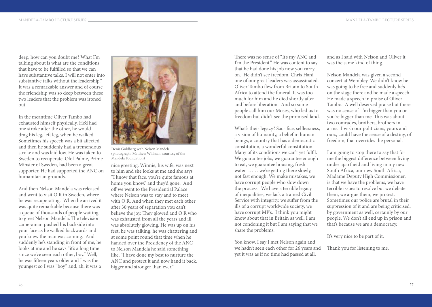deep, how can you doubt me? What I'm talking about is what are the conditions that have to be fulfilled so that we can have substantive talks. I will not enter into substantive talks without the leadership." It was a remarkable answer and of course the friendship was so deep between these two leaders that the problem was ironed out.

In the meantime Oliver Tambo had exhausted himself physically. He'd had one stroke after the other, he would drag his leg, left leg, when he walked. Sometimes his speech was a bit affected and then he suddenly had a tremendous stroke and was laid low. He was taken to Sweden to recuperate. Olof Palme, Prime Minster of Sweden, had been a great supporter. He had supported the ANC on humanitarian grounds.

And then Nelson Mandela was released and went to visit O R in Sweden, where he was recuperating. When he arrived it was quite remarkable because there was a queue of thousands of people waiting to greet Nelson Mandela. The television cameraman pushed his backside into your face as he walked backwards and you knew the man was coming. And suddenly he's standing in front of me, he looks at me and he says "it's a long time since we've seen each other, boy." Well, he was fifteen years older and I was the youngest so I was "boy" and, ah, it was a



Denis Goldberg with Nelson Mandela (photograph: Matthew Willman, courtesy of the Mandela Foundation)

nice greeting. Winnie, his wife, was next to him and she looks at me and she says "I know that face, you're quite famous at home you know," and they'd gone. And off we went to the Presidential Palace where Nelson was to stay and to meet with O R. And when they met each other after 30 years of separation you can't believe the joy. They glowed and O R who was exhausted from all the years and ill was absolutely glowing. He was up on his feet, he was talking, he was chattering and at some point round that time when he handed over the Presidency of the ANC to Nelson Mandela he said something like, "I have done my best to nurture the ANC and protect it and now hand it back, bigger and stronger than ever."

There was no sense of "It's my ANC and I'm the President." He was content to say that he had done his job now you carry on. He didn't see freedom. Chris Hani one of our great leaders was assassinated. Oliver Tambo flew from Britain to South Africa to attend the funeral. It was too much for him and he died shortly after and before liberation. And so some people call him our Moses, who led us to freedom but didn't see the promised land.

What's their legacy? Sacrifice, selflessness, a vision of humanity, a belief in human beings, a country that has a democratic constitution, a wonderful constitution. Many of its conditions we can't yet fulfil. We guarantee jobs, we guarantee enough to eat, we guarantee housing, fresh water ...... we're getting there slowly, not fast enough. We make mistakes, we have corrupt people who slow down the process. We have a terrible legacy of inequalities, we lack a trained Civil Service with integrity, we suffer from the ills of a corrupt worldwide society, we have corrupt MP's. I think you might know about that in Britain as well. I am not condoning it but I am saying that we share the problems.

You know, I say I met Nelson again and we hadn't seen each other for 26 years and yet it was as if no time had passed at all,

and as I said with Nelson and Oliver it was the same kind of thing.

Nelson Mandela was given a second concert at Wembley. We didn't know he was going to be free and suddenly he's on the stage there and he made a speech. He made a speech in praise of Oliver Tambo. A well deserved praise but there was no sense of I'm bigger than you or you're bigger than me. This was about two comrades, brothers, brothers in arms. I wish our politicians, yours and ours, could have the sense of a destiny, of freedom, that overrides the personal.

I am going to stop there to say that for me the biggest difference between living under apartheid and living in my new South Africa, our new South Africa, Madame Deputy High Commissioner, is that we have the problems, we have terrible issues to resolve but we debate them, we argue them, we protest. Sometimes our police are brutal in their suppression of it and are being criticised, by government as well, certainly by our people. We don't all end up in prison and that's because we are a democracy.

It's very nice to be part of it.

Thank you for listening to me.